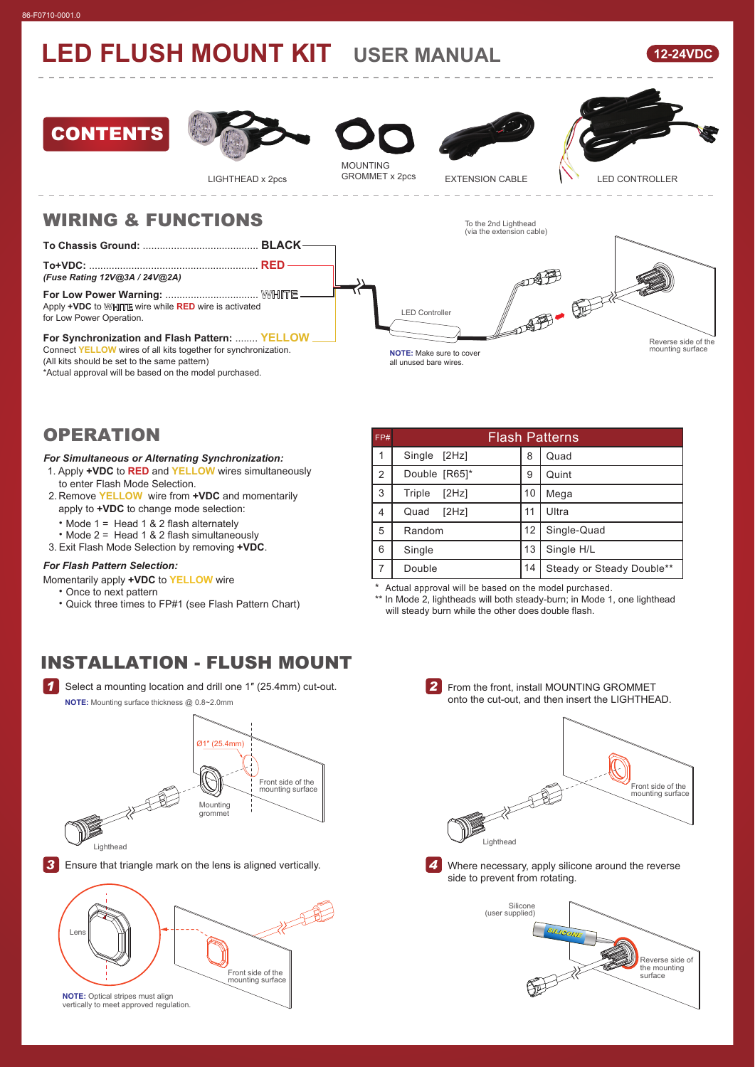# **LED FLUSH MOUNT KIT USER MANUAL**







LIGHTHEAD x 2pcs

MOUNTING<br>GROMMET x 2pcs





### WIRING & FUNCTIONS

**To Chassis Ground:** ......................................... **BLACK**

**To+VDC:** ............................................................ **RED** *(Fuse Rating 12V@3A / 24V@2A)*

**For Low Power Warning:** ................................. **WHITE**

Apply **+VDC** to **WHITE** wire while **RED** wire is activated for Low Power Operation.

#### **For Synchronization and Flash Pattern:** ........ **YELLOW**

Connect **YELLOW** wires of all kits together for synchronization.

(All kits should be set to the same pattern)

\*Actual approval will be based on the model purchased.

| $\overline{\phantom{0}}$<br>(via the extension cable)                       |  |                                         |  |
|-----------------------------------------------------------------------------|--|-----------------------------------------|--|
| <b>LED Controller</b><br>NOTE: Make sure to cover<br>all unused bare wires. |  | Reverse side of the<br>mounting surface |  |

To the 2nd Lighthead

### **OPERATION**

#### *For Simultaneous or Alternating Synchronization:*

- 1. Apply **+VDC** to **RED** and **YELLOW** wires simultaneously to enter Flash Mode Selection.
- 2. Remove **YELLOW** wire from **+VDC** and momentarily apply to **+VDC** to change mode selection:

˙Mode 1 = Head 1 & 2 flash alternately

- ˙Mode 2 = Head 1 & 2 flash simultaneously
- 3. Exit Flash Mode Selection by removing **+VDC**.

### *For Flash Pattern Selection:*

Momentarily apply **+VDC** to **YELLOW** wire

- ˙Once to next pattern
- ˙Quick three times to FP#1 (see Flash Pattern Chart)

#### 1 2 3 4 5 6 7 Double 14 Single [2Hz] Quint Mega Double [R65] Triple [2Hz] Quad [2Hz] Random Single Quad 10 11 12 13 Steady or Steady Double\*\* Single H/L FP# Flash Patterns 8 9 Ultra Single-Quad

Actual approval will be based on the model purchased.

\*\* In Mode 2, lightheads will both steady-burn; in Mode 1, one lighthead will steady burn while the other does double flash.

## INSTALLATION - FLUSH MOUNT

**1** Select a mounting location and drill one 1" (25.4mm) cut-out. **NOTE:** Mounting surface thickness @ 0.8~2.0mm



Lighthead

**3** Ensure that triangle mark on the lens is aligned vertically.



From the front, install MOUNTING GROMMET *2* onto the cut-out, and then insert the LIGHTHEAD.





Where necessary, apply silicone around the reverse side to prevent from rotating.